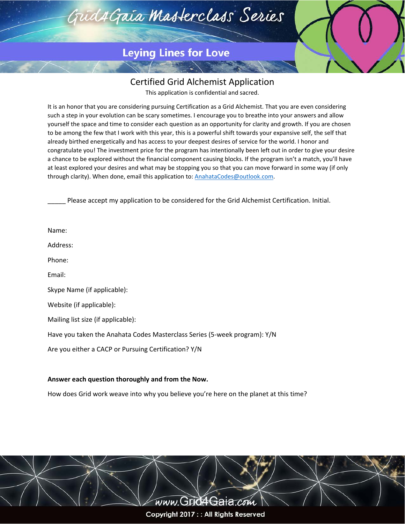

## **Leying Lines for Love**

## Certified Grid Alchemist Application

This application is confidential and sacred.

It is an honor that you are considering pursuing Certification as a Grid Alchemist. That you are even considering such a step in your evolution can be scary sometimes. I encourage you to breathe into your answers and allow yourself the space and time to consider each question as an opportunity for clarity and growth. If you are chosen to be among the few that I work with this year, this is a powerful shift towards your expansive self, the self that already birthed energetically and has access to your deepest desires of service for the world. I honor and congratulate you! The investment price for the program has intentionally been left out in order to give your desire a chance to be explored without the financial component causing blocks. If the program isn't a match, you'll have at least explored your desires and what may be stopping you so that you can move forward in some way (if only through clarity). When done, email this application to: **AnahataCodes@outlook.com**.

Please accept my application to be considered for the Grid Alchemist Certification. Initial.

| Name:                                                                     |
|---------------------------------------------------------------------------|
| Address:                                                                  |
| Phone:                                                                    |
| Email:                                                                    |
| Skype Name (if applicable):                                               |
| Website (if applicable):                                                  |
| Mailing list size (if applicable):                                        |
| Have you taken the Anahata Codes Masterclass Series (5-week program): Y/N |
| Are you either a CACP or Pursuing Certification? Y/N                      |
|                                                                           |

## **Answer each question thoroughly and from the Now.**

How does Grid work weave into why you believe you're here on the planet at this time?

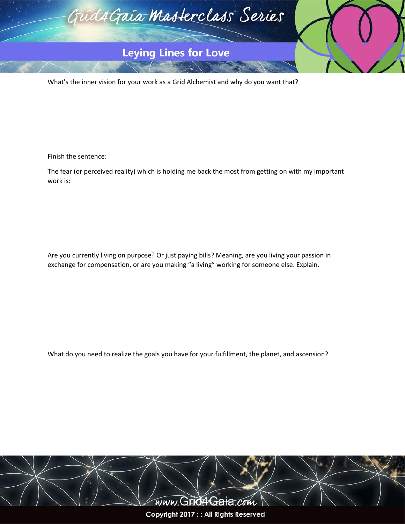

What's the inner vision for your work as a Grid Alchemist and why do you want that?

Finish the sentence:

The fear (or perceived reality) which is holding me back the most from getting on with my important work is:

Are you currently living on purpose? Or just paying bills? Meaning, are you living your passion in exchange for compensation, or are you making "a living" working for someone else. Explain.

What do you need to realize the goals you have for your fulfillment, the planet, and ascension?

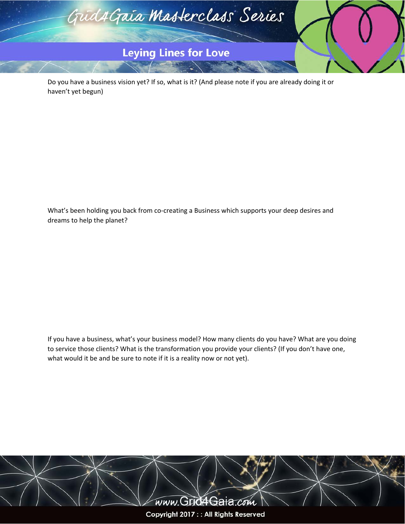

Do you have a business vision yet? If so, what is it? (And please note if you are already doing it or haven't yet begun)

What's been holding you back from co-creating a Business which supports your deep desires and dreams to help the planet?

If you have a business, what's your business model? How many clients do you have? What are you doing to service those clients? What is the transformation you provide your clients? (If you don't have one, what would it be and be sure to note if it is a reality now or not yet).

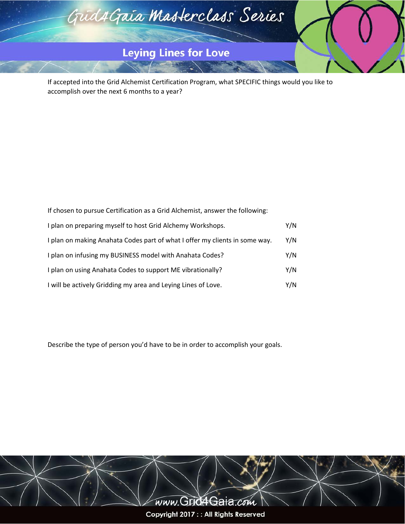

If accepted into the Grid Alchemist Certification Program, what SPECIFIC things would you like to accomplish over the next 6 months to a year?

| If chosen to pursue Certification as a Grid Alchemist, answer the following: |     |
|------------------------------------------------------------------------------|-----|
| I plan on preparing myself to host Grid Alchemy Workshops.                   | Y/N |
| I plan on making Anahata Codes part of what I offer my clients in some way.  | Y/N |
| I plan on infusing my BUSINESS model with Anahata Codes?                     | Y/N |
| I plan on using Anahata Codes to support ME vibrationally?                   | Y/N |
| I will be actively Gridding my area and Leying Lines of Love.                | Y/N |

Describe the type of person you'd have to be in order to accomplish your goals.

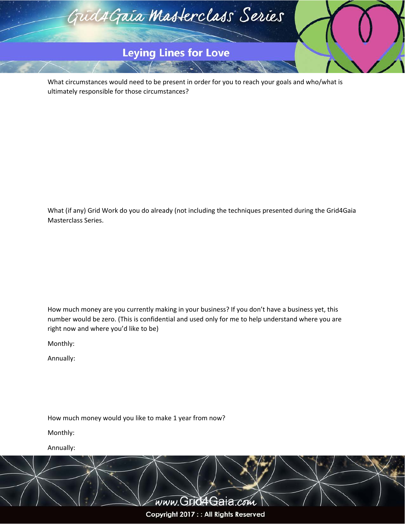

What circumstances would need to be present in order for you to reach your goals and who/what is ultimately responsible for those circumstances?

What (if any) Grid Work do you do already (not including the techniques presented during the Grid4Gaia Masterclass Series.

How much money are you currently making in your business? If you don't have a business yet, this number would be zero. (This is confidential and used only for me to help understand where you are right now and where you'd like to be)

Monthly:

Annually:

How much money would you like to make 1 year from now?

Monthly:

Annually:

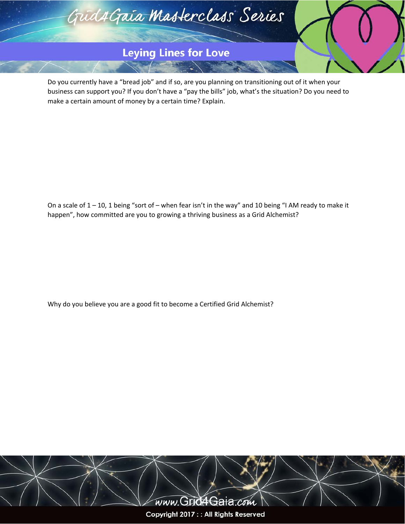

Do you currently have a "bread job" and if so, are you planning on transitioning out of it when your business can support you? If you don't have a "pay the bills" job, what's the situation? Do you need to make a certain amount of money by a certain time? Explain.

On a scale of 1 – 10, 1 being "sort of – when fear isn't in the way" and 10 being "I AM ready to make it happen", how committed are you to growing a thriving business as a Grid Alchemist?

Why do you believe you are a good fit to become a Certified Grid Alchemist?

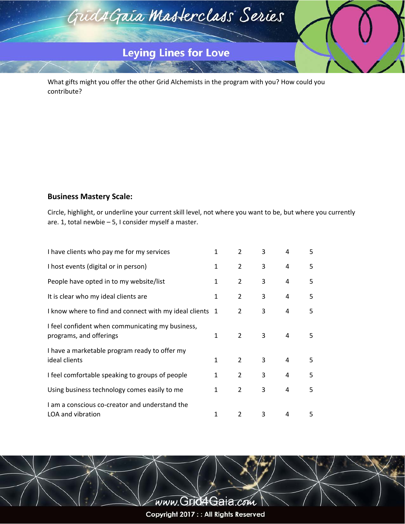

What gifts might you offer the other Grid Alchemists in the program with you? How could you contribute?

## **Business Mastery Scale:**

Circle, highlight, or underline your current skill level, not where you want to be, but where you currently are. 1, total newbie – 5, I consider myself a master.

| I have clients who pay me for my services                                   | $\mathbf{1}$ | $\overline{2}$ | 3 | 4 | 5 |
|-----------------------------------------------------------------------------|--------------|----------------|---|---|---|
| I host events (digital or in person)                                        | $\mathbf{1}$ | $\overline{2}$ | 3 | 4 | 5 |
| People have opted in to my website/list                                     | $\mathbf{1}$ | $\overline{2}$ | 3 | 4 | 5 |
| It is clear who my ideal clients are                                        | 1            | $\overline{2}$ | 3 | 4 | 5 |
| I know where to find and connect with my ideal clients 1                    |              | 2              | 3 | 4 | 5 |
| I feel confident when communicating my business,<br>programs, and offerings | $\mathbf{1}$ | $\mathcal{P}$  | 3 | 4 | 5 |
| I have a marketable program ready to offer my<br>ideal clients              | $\mathbf{1}$ | $\overline{2}$ | 3 | 4 | 5 |
| I feel comfortable speaking to groups of people                             | 1            | $\overline{2}$ | 3 | 4 | 5 |
| Using business technology comes easily to me                                | $\mathbf{1}$ | $\overline{2}$ | 3 | 4 | 5 |
| I am a conscious co-creator and understand the<br>LOA and vibration         | 1            | 2              | 3 | 4 | 5 |

www.GridaGaia.com Copyright 2017 : : All Rights Reserved